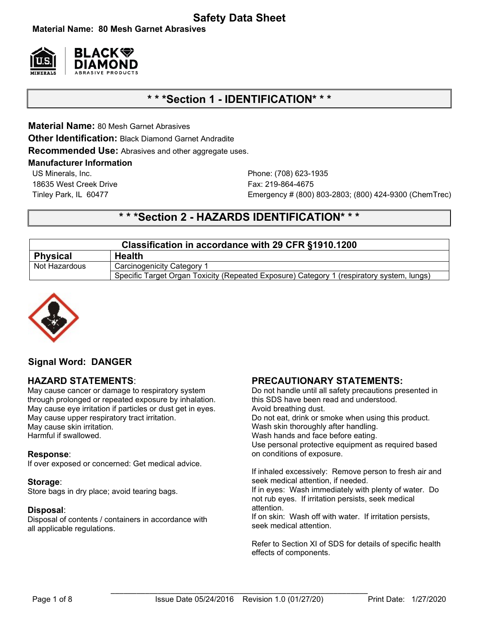# **Safety Data Sheet**

**Material Name: 80 Mesh Garnet Abrasives**



# **\* \* \*Section 1 - IDENTIFICATION\* \* \***

**Material Name:** 80 Mesh Garnet Abrasives

**Other Identification:** Black Diamond Garnet Andradite

**Recommended Use:** Abrasives and other aggregate uses.

#### **Manufacturer Information**

US Minerals, Inc. Phone: (708) 623-1935 18635 West Creek Drive Fax: 219-864-4675

Tinley Park, IL 60477 Emergency # (800) 803-2803; (800) 424-9300 (ChemTrec)

# **\* \* \*Section 2 - HAZARDS IDENTIFICATION\* \* \***

| Classification in accordance with 29 CFR §1910.1200 |                                                                                           |  |  |  |
|-----------------------------------------------------|-------------------------------------------------------------------------------------------|--|--|--|
| <b>Physical</b>                                     | <b>Health</b>                                                                             |  |  |  |
| Not Hazardous                                       | Carcinogenicity Category 1                                                                |  |  |  |
|                                                     | Specific Target Organ Toxicity (Repeated Exposure) Category 1 (respiratory system, lungs) |  |  |  |



# **Signal Word: DANGER**

## **HAZARD STATEMENTS**:

May cause cancer or damage to respiratory system through prolonged or repeated exposure by inhalation. May cause eye irritation if particles or dust get in eyes. May cause upper respiratory tract irritation. May cause skin irritation. Harmful if swallowed.

## **Response**:

If over exposed or concerned: Get medical advice.

#### **Storage**:

Store bags in dry place; avoid tearing bags.

#### **Disposal**:

Disposal of contents / containers in accordance with all applicable regulations.

## **PRECAUTIONARY STATEMENTS:**

Do not handle until all safety precautions presented in this SDS have been read and understood. Avoid breathing dust. Do not eat, drink or smoke when using this product. Wash skin thoroughly after handling. Wash hands and face before eating. Use personal protective equipment as required based on conditions of exposure.

If inhaled excessively: Remove person to fresh air and seek medical attention, if needed.

If in eyes: Wash immediately with plenty of water. Do not rub eyes. If irritation persists, seek medical attention.

If on skin: Wash off with water. If irritation persists, seek medical attention.

Refer to Section XI of SDS for details of specific health effects of components.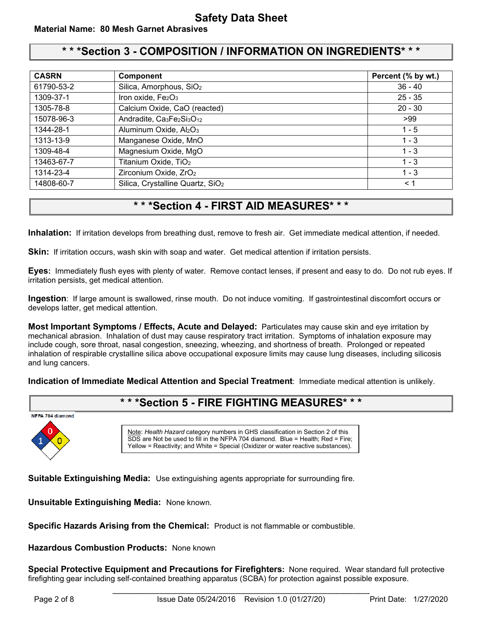# **\* \* \*Section 3 - COMPOSITION / INFORMATION ON INGREDIENTS\* \* \***

| <b>CASRN</b> | Component                                                                  | Percent (% by wt.) |
|--------------|----------------------------------------------------------------------------|--------------------|
| 61790-53-2   | Silica, Amorphous, SiO <sub>2</sub>                                        | $36 - 40$          |
| 1309-37-1    | Iron oxide, Fe2O3                                                          | $25 - 35$          |
| 1305-78-8    | Calcium Oxide, CaO (reacted)                                               | $20 - 30$          |
| 15078-96-3   | Andradite, Ca <sub>3</sub> Fe <sub>2</sub> Si <sub>3</sub> O <sub>12</sub> | >99                |
| 1344-28-1    | Aluminum Oxide, Al2O3                                                      | $1 - 5$            |
| 1313-13-9    | Manganese Oxide, MnO                                                       | $1 - 3$            |
| 1309-48-4    | Magnesium Oxide, MgO                                                       | $1 - 3$            |
| 13463-67-7   | Titanium Oxide, TiO <sub>2</sub>                                           | $1 - 3$            |
| 1314-23-4    | Zirconium Oxide, ZrO <sub>2</sub>                                          | $1 - 3$            |
| 14808-60-7   | Silica, Crystalline Quartz, SiO <sub>2</sub>                               | $\leq 1$           |

# **\* \* \*Section 4 - FIRST AID MEASURES\* \* \***

**Inhalation:** If irritation develops from breathing dust, remove to fresh air. Get immediate medical attention, if needed.

**Skin:** If irritation occurs, wash skin with soap and water. Get medical attention if irritation persists.

**Eyes:** Immediately flush eyes with plenty of water. Remove contact lenses, if present and easy to do. Do not rub eyes. If irritation persists, get medical attention.

**Ingestion**: If large amount is swallowed, rinse mouth. Do not induce vomiting. If gastrointestinal discomfort occurs or develops latter, get medical attention.

**Most Important Symptoms / Effects, Acute and Delayed:** Particulates may cause skin and eye irritation by mechanical abrasion. Inhalation of dust may cause respiratory tract irritation. Symptoms of inhalation exposure may include cough, sore throat, nasal congestion, sneezing, wheezing, and shortness of breath. Prolonged or repeated inhalation of respirable crystalline silica above occupational exposure limits may cause lung diseases, including silicosis and lung cancers.

**Indication of Immediate Medical Attention and Special Treatment**: Immediate medical attention is unlikely.

# **\* \* \*Section 5 - FIRE FIGHTING MEASURES\* \* \***

#### NFPA 704 diamond



Note: *Health Hazard* category numbers in GHS classification in Section 2 of this  $\overline{\text{SDS}}$  are Not be used to fill in the NFPA 704 diamond. Blue = Health; Red = Fire; Yellow = Reactivity; and White = Special (Oxidizer or water reactive substances).

**Suitable Extinguishing Media:** Use extinguishing agents appropriate for surrounding fire.

**Unsuitable Extinguishing Media:** None known.

**Specific Hazards Arising from the Chemical:** Product is not flammable or combustible.

**Hazardous Combustion Products:** None known

**Special Protective Equipment and Precautions for Firefighters:** None required.Wear standard full protective firefighting gear including self-contained breathing apparatus (SCBA) for protection against possible exposure.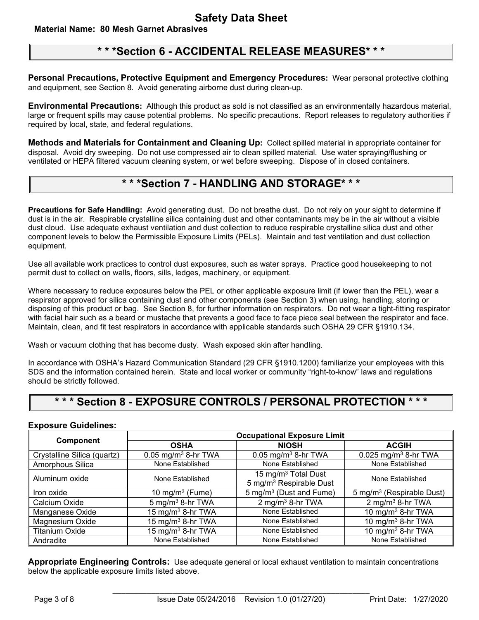# **Material Name: 80 Mesh Garnet Abrasives**

# **\* \* \*Section 6 - ACCIDENTAL RELEASE MEASURES\* \* \***

**Personal Precautions, Protective Equipment and Emergency Procedures:** Wear personal protective clothing and equipment, see Section 8. Avoid generating airborne dust during clean-up.

**Environmental Precautions:** Although this product as sold is not classified as an environmentally hazardous material, large or frequent spills may cause potential problems. No specific precautions. Report releases to regulatory authorities if required by local, state, and federal regulations.

**Methods and Materials for Containment and Cleaning Up:** Collect spilled material in appropriate container for disposal. Avoid dry sweeping. Do not use compressed air to clean spilled material. Use water spraying/flushing or ventilated or HEPA filtered vacuum cleaning system, or wet before sweeping. Dispose of in closed containers.

# **\* \* \*Section 7 - HANDLING AND STORAGE\* \* \***

**Precautions for Safe Handling:** Avoid generating dust. Do not breathe dust. Do not rely on your sight to determine if dust is in the air. Respirable crystalline silica containing dust and other contaminants may be in the air without a visible dust cloud. Use adequate exhaust ventilation and dust collection to reduce respirable crystalline silica dust and other component levels to below the Permissible Exposure Limits (PELs). Maintain and test ventilation and dust collection equipment.

Use all available work practices to control dust exposures, such as water sprays. Practice good housekeeping to not permit dust to collect on walls, floors, sills, ledges, machinery, or equipment.

Where necessary to reduce exposures below the PEL or other applicable exposure limit (if lower than the PEL), wear a respirator approved for silica containing dust and other components (see Section 3) when using, handling, storing or disposing of this product or bag. See Section 8, for further information on respirators. Do not wear a tight-fitting respirator with facial hair such as a beard or mustache that prevents a good face to face piece seal between the respirator and face. Maintain, clean, and fit test respirators in accordance with applicable standards such OSHA 29 CFR §1910.134.

Wash or vacuum clothing that has become dusty. Wash exposed skin after handling.

In accordance with OSHA's Hazard Communication Standard (29 CFR §1910.1200) familiarize your employees with this SDS and the information contained herein. State and local worker or community "right-to-know" laws and regulations should be strictly followed.

# **\* \* \* Section 8 - EXPOSURE CONTROLS / PERSONAL PROTECTION \* \* \***

## **Exposure Guidelines:**

|                             | <b>Occupational Exposure Limit</b> |                                                                        |                                       |
|-----------------------------|------------------------------------|------------------------------------------------------------------------|---------------------------------------|
| Component                   | <b>OSHA</b>                        | <b>NIOSH</b>                                                           | <b>ACGIH</b>                          |
| Crystalline Silica (quartz) | $0.05$ mg/m <sup>3</sup> 8-hr TWA  | $0.05$ mg/m <sup>3</sup> 8-hr TWA                                      | $0.025$ mg/m <sup>3</sup> 8-hr TWA    |
| Amorphous Silica            | None Established                   | None Established                                                       | None Established                      |
| Aluminum oxide              | None Established                   | 15 mg/m <sup>3</sup> Total Dust<br>5 mg/m <sup>3</sup> Respirable Dust | None Established                      |
| Iron oxide                  | 10 mg/m $3$ (Fume)                 | 5 mg/m <sup>3</sup> (Dust and Fume)                                    | 5 mg/m <sup>3</sup> (Respirable Dust) |
| Calcium Oxide               | $5$ mg/m <sup>3</sup> 8-hr TWA     | 2 mg/m <sup>3</sup> 8-hr TWA                                           | $2$ mg/m <sup>3</sup> 8-hr TWA        |
| Manganese Oxide             | 15 mg/m <sup>3</sup> 8-hr TWA      | None Established                                                       | 10 mg/m <sup>3</sup> 8-hr TWA         |
| Magnesium Oxide             | 15 mg/m <sup>3</sup> 8-hr TWA      | None Established                                                       | 10 mg/m <sup>3</sup> 8-hr TWA         |
| <b>Titanium Oxide</b>       | 15 mg/m <sup>3</sup> 8-hr TWA      | None Established                                                       | 10 mg/m $3$ 8-hr TWA                  |
| Andradite                   | None Established                   | None Established                                                       | None Established                      |

**Appropriate Engineering Controls:** Use adequate general or local exhaust ventilation to maintain concentrations below the applicable exposure limits listed above.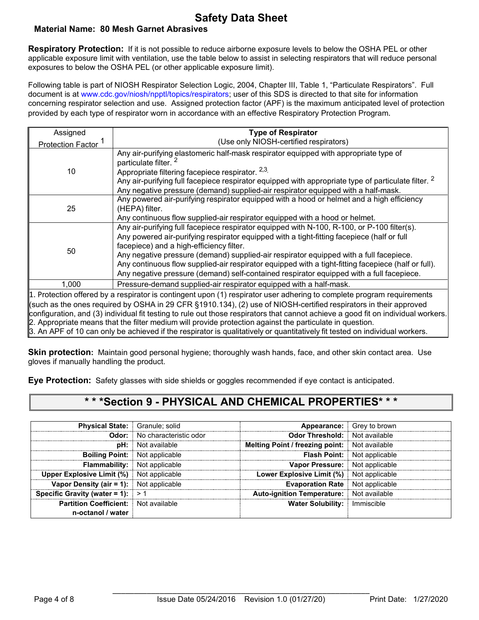## **Safety Data Sheet Material Name: 80 Mesh Garnet Abrasives**

**Respiratory Protection:** If it is not possible to reduce airborne exposure levels to below the OSHA PEL or other applicable exposure limit with ventilation, use the table below to assist in selecting respirators that will reduce personal exposures to below the OSHA PEL (or other applicable exposure limit).

Following table is part of NIOSH Respirator Selection Logic, 2004, Chapter III, Table 1, "Particulate Respirators". Full document is at www.cdc.gov/niosh/npptl/topics/respirators; user of this SDS is directed to that site for information concerning respirator selection and use. Assigned protection factor (APF) is the maximum anticipated level of protection provided by each type of respirator worn in accordance with an effective Respiratory Protection Program.

| Assigned                                                                                                                          | <b>Type of Respirator</b>                                                                                              |  |  |  |
|-----------------------------------------------------------------------------------------------------------------------------------|------------------------------------------------------------------------------------------------------------------------|--|--|--|
| <b>Protection Factor</b>                                                                                                          | (Use only NIOSH-certified respirators)                                                                                 |  |  |  |
|                                                                                                                                   | Any air-purifying elastomeric half-mask respirator equipped with appropriate type of                                   |  |  |  |
|                                                                                                                                   | particulate filter. <sup>2</sup>                                                                                       |  |  |  |
| 10                                                                                                                                | Appropriate filtering facepiece respirator. 2,3,                                                                       |  |  |  |
|                                                                                                                                   | Any air-purifying full facepiece respirator equipped with appropriate type of particulate filter. <sup>2</sup>         |  |  |  |
|                                                                                                                                   | Any negative pressure (demand) supplied-air respirator equipped with a half-mask.                                      |  |  |  |
| 25                                                                                                                                | Any powered air-purifying respirator equipped with a hood or helmet and a high efficiency                              |  |  |  |
|                                                                                                                                   | (HEPA) filter.                                                                                                         |  |  |  |
|                                                                                                                                   | Any continuous flow supplied-air respirator equipped with a hood or helmet.                                            |  |  |  |
|                                                                                                                                   | Any air-purifying full facepiece respirator equipped with N-100, R-100, or P-100 filter(s).                            |  |  |  |
|                                                                                                                                   | Any powered air-purifying respirator equipped with a tight-fitting facepiece (half or full                             |  |  |  |
| 50                                                                                                                                | facepiece) and a high-efficiency filter.                                                                               |  |  |  |
|                                                                                                                                   | Any negative pressure (demand) supplied-air respirator equipped with a full facepiece.                                 |  |  |  |
|                                                                                                                                   | Any continuous flow supplied-air respirator equipped with a tight-fitting facepiece (half or full).                    |  |  |  |
|                                                                                                                                   | Any negative pressure (demand) self-contained respirator equipped with a full facepiece.                               |  |  |  |
| 1,000                                                                                                                             | Pressure-demand supplied-air respirator equipped with a half-mask.                                                     |  |  |  |
|                                                                                                                                   | 1. Protection offered by a respirator is contingent upon (1) respirator user adhering to complete program requirements |  |  |  |
|                                                                                                                                   | such as the ones required by OSHA in 29 CFR §1910.134), (2) use of NIOSH-certified respirators in their approved       |  |  |  |
| configuration, and (3) individual fit testing to rule out those respirators that cannot achieve a good fit on individual workers. |                                                                                                                        |  |  |  |
| 2. Appropriate means that the filter medium will provide protection against the particulate in question.                          |                                                                                                                        |  |  |  |
| 3. An APF of 10 can only be achieved if the respirator is qualitatively or quantitatively fit tested on individual workers.       |                                                                                                                        |  |  |  |

**Skin protection:** Maintain good personal hygiene; thoroughly wash hands, face, and other skin contact area. Use gloves if manually handling the product.

**Eye Protection:** Safety glasses with side shields or goggles recommended if eye contact is anticipated.

# **\* \* \*Section 9 - PHYSICAL AND CHEMICAL PROPERTIES\* \* \***

| <b>Physical State:</b> Granule; solid                            |                                     | Appearance:                       | Grey to brown  |
|------------------------------------------------------------------|-------------------------------------|-----------------------------------|----------------|
|                                                                  | <b>Odor:</b> No characteristic odor | <b>Odor Threshold:</b>            | Not available  |
|                                                                  | <b>pH:</b> Not available            | Melting Point / freezing point:   | Not available  |
| <b>Boiling Point:</b>                                            | Not applicable                      | <b>Flash Point:</b>               | Not applicable |
| <b>Flammability:</b>                                             | Not applicable                      | Vapor Pressure:                   | Not applicable |
| <b>Upper Explosive Limit (%)</b> Not applicable                  |                                     | Lower Explosive Limit (%)         | Not applicable |
| <b>Vapor Density (air = 1):</b> Not applicable                   |                                     | <b>Evaporation Rate</b>           | Not applicable |
| Specific Gravity (water = 1): $> 1$                              |                                     | <b>Auto-ignition Temperature:</b> | Not available  |
| <b>Partition Coefficient:</b> Not available<br>n-octanol / water |                                     | <b>Water Solubility:</b>          | Immiscible     |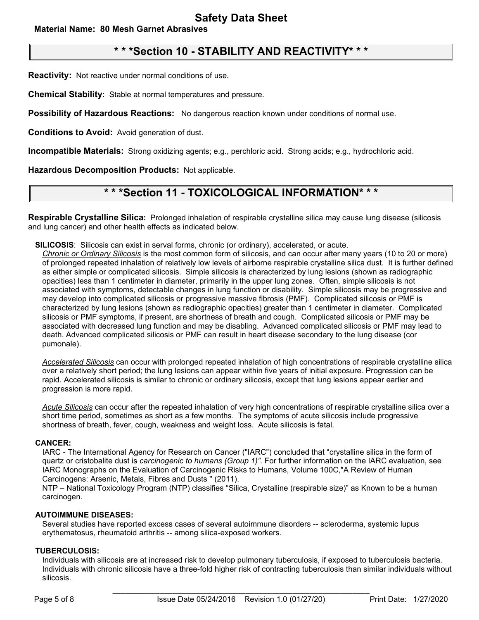## **Material Name: 80 Mesh Garnet Abrasives**

# **\* \* \*Section 10 - STABILITY AND REACTIVITY\* \* \***

**Reactivity:** Not reactive under normal conditions of use.

**Chemical Stability:** Stable at normal temperatures and pressure.

**Possibility of Hazardous Reactions:** No dangerous reaction known under conditions of normal use.

**Conditions to Avoid:** Avoid generation of dust.

**Incompatible Materials:** Strong oxidizing agents; e.g., perchloric acid. Strong acids; e.g., hydrochloric acid.

**Hazardous Decomposition Products:** Not applicable.

# **\* \* \*Section 11 - TOXICOLOGICAL INFORMATION\* \* \***

**Respirable Crystalline Silica:** Prolonged inhalation of respirable crystalline silica may cause lung disease (silicosis and lung cancer) and other health effects as indicated below.

**SILICOSIS**: Silicosis can exist in serval forms, chronic (or ordinary), accelerated, or acute.

*Chronic or Ordinary Silicosis* is the most common form of silicosis, and can occur after many years (10 to 20 or more) of prolonged repeated inhalation of relatively low levels of airborne respirable crystalline silica dust. It is further defined as either simple or complicated silicosis. Simple silicosis is characterized by lung lesions (shown as radiographic opacities) less than 1 centimeter in diameter, primarily in the upper lung zones. Often, simple silicosis is not associated with symptoms, detectable changes in lung function or disability. Simple silicosis may be progressive and may develop into complicated silicosis or progressive massive fibrosis (PMF). Complicated silicosis or PMF is characterized by lung lesions (shown as radiographic opacities) greater than 1 centimeter in diameter. Complicated silicosis or PMF symptoms, if present, are shortness of breath and cough. Complicated silicosis or PMF may be associated with decreased lung function and may be disabling. Advanced complicated silicosis or PMF may lead to death. Advanced complicated silicosis or PMF can result in heart disease secondary to the lung disease (cor pumonale).

*Accelerated Silicosis* can occur with prolonged repeated inhalation of high concentrations of respirable crystalline silica over a relatively short period; the lung lesions can appear within five years of initial exposure. Progression can be rapid. Accelerated silicosis is similar to chronic or ordinary silicosis, except that lung lesions appear earlier and progression is more rapid.

*Acute Silicosis* can occur after the repeated inhalation of very high concentrations of respirable crystalline silica over a short time period, sometimes as short as a few months. The symptoms of acute silicosis include progressive shortness of breath, fever, cough, weakness and weight loss. Acute silicosis is fatal.

#### **CANCER:**

IARC - The International Agency for Research on Cancer ("IARC") concluded that "crystalline silica in the form of quartz or cristobalite dust is *carcinogenic to humans (Group 1)".* For further information on the IARC evaluation, see IARC Monographs on the Evaluation of Carcinogenic Risks to Humans, Volume 100C,"A Review of Human Carcinogens: Arsenic, Metals, Fibres and Dusts " (2011).

NTP – National Toxicology Program (NTP) classifies "Silica, Crystalline (respirable size)" as Known to be a human carcinogen.

#### **AUTOIMMUNE DISEASES:**

Several studies have reported excess cases of several autoimmune disorders -- scleroderma, systemic lupus erythematosus, rheumatoid arthritis -- among silica-exposed workers.

#### **TUBERCULOSIS:**

Individuals with silicosis are at increased risk to develop pulmonary tuberculosis, if exposed to tuberculosis bacteria. Individuals with chronic silicosis have a three-fold higher risk of contracting tuberculosis than similar individuals without silicosis.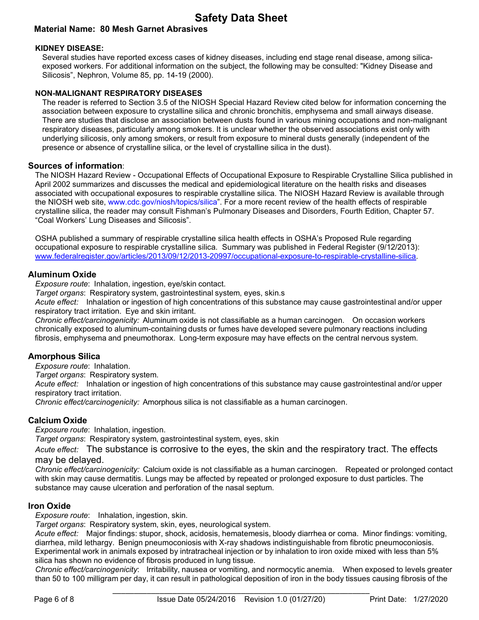# **Safety Data Sheet**

# **Material Name: 80 Mesh Garnet Abrasives**

#### **KIDNEY DISEASE:**

Several studies have reported excess cases of kidney diseases, including end stage renal disease, among silicaexposed workers. For additional information on the subject, the following may be consulted: "Kidney Disease and Silicosis", Nephron, Volume 85, pp. 14-19 (2000).

#### **NON-MALIGNANT RESPIRATORY DISEASES**

The reader is referred to Section 3.5 of the NIOSH Special Hazard Review cited below for information concerning the association between exposure to crystalline silica and chronic bronchitis, emphysema and small airways disease. There are studies that disclose an association between dusts found in various mining occupations and non-malignant respiratory diseases, particularly among smokers. It is unclear whether the observed associations exist only with underlying silicosis, only among smokers, or result from exposure to mineral dusts generally (independent of the presence or absence of crystalline silica, or the level of crystalline silica in the dust).

## **Sources of information**:

The NIOSH Hazard Review - Occupational Effects of Occupational Exposure to Respirable Crystalline Silica published in April 2002 summarizes and discusses the medical and epidemiological literature on the health risks and diseases associated with occupational exposures to respirable crystalline silica. The NIOSH Hazard Review is available through the NIOSH web site, www.cdc.gov/niosh/topics/silica". For a more recent review of the health effects of respirable crystalline silica, the reader may consult Fishman's Pulmonary Diseases and Disorders, Fourth Edition, Chapter 57. "Coal Workers' Lung Diseases and Silicosis".

OSHA published a summary of respirable crystalline silica health effects in OSHA's Proposed Rule regarding occupational exposure to respirable crystalline silica. Summary was published in Federal Register (9/12/2013): [www.federalregister.gov/articles/2013/09/12/2013-20997/occupational-exposure-to-respirable-crystalline-silica.](http://www.federalregister.gov/articles/2013/09/12/2013-20997/occupational-exposure-to-respirable-crystalline-silica)

## **Aluminum Oxide**

*Exposure route*: Inhalation, ingestion, eye/skin contact.

*Target organs*: Respiratory system, gastrointestinal system, eyes, skin.s

*Acute effect:* Inhalation or ingestion of high concentrations of this substance may cause gastrointestinal and/or upper respiratory tract irritation. Eye and skin irritant.

*Chronic effect/carcinogenicity:* Aluminum oxide is not classifiable as a human carcinogen. On occasion workers chronically exposed to aluminum-containing dusts or fumes have developed severe pulmonary reactions including fibrosis, emphysema and pneumothorax. Long-term exposure may have effects on the central nervous system.

## **Amorphous Silica**

*Exposure route*: Inhalation.

*Target organs*: Respiratory system.

*Acute effect:* Inhalation or ingestion of high concentrations of this substance may cause gastrointestinal and/or upper respiratory tract irritation.

*Chronic effect/carcinogenicity:* Amorphous silica is not classifiable as a human carcinogen.

## **Calcium Oxide**

*Exposure route*: Inhalation, ingestion.

*Target organs*: Respiratory system, gastrointestinal system, eyes, skin

*Acute effect:* The substance is corrosive to the eyes, the skin and the respiratory tract. The effects may be delayed.

*Chronic effect/carcinogenicity:* Calcium oxide is not classifiable as a human carcinogen. Repeated or prolonged contact with skin may cause dermatitis. Lungs may be affected by repeated or prolonged exposure to dust particles. The substance may cause ulceration and perforation of the nasal septum.

## **Iron Oxide**

*Exposure route*: Inhalation, ingestion, skin.

*Target organs*: Respiratory system, skin, eyes, neurological system.

*Acute effect:* Major findings: stupor, shock, acidosis, hematemesis, bloody diarrhea or coma. Minor findings: vomiting, diarrhea, mild lethargy. Benign pneumoconiosis with X-ray shadows indistinguishable from fibrotic pneumoconiosis. Experimental work in animals exposed by intratracheal injection or by inhalation to iron oxide mixed with less than 5% silica has shown no evidence of fibrosis produced in lung tissue.

*Chronic effect/carcinogenicity*: Irritability, nausea or vomiting, and normocytic anemia. When exposed to levels greater than 50 to 100 milligram per day, it can result in pathological deposition of iron in the body tissues causing fibrosis of the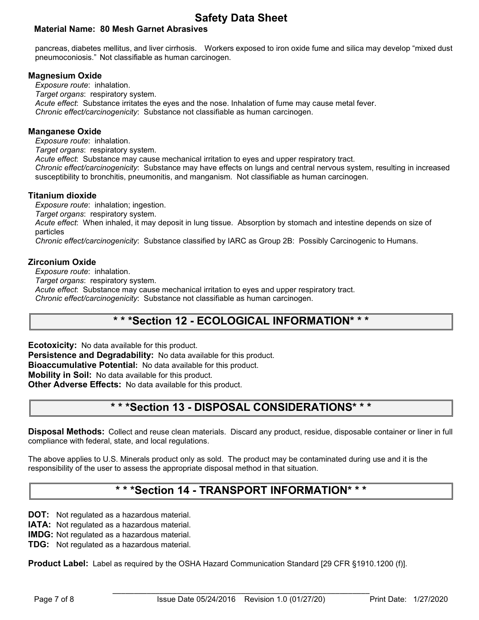# **Safety Data Sheet**

# **Material Name: 80 Mesh Garnet Abrasives**

pancreas, diabetes mellitus, and liver cirrhosis. Workers exposed to iron oxide fume and silica may develop "mixed dust pneumoconiosis." Not classifiable as human carcinogen.

## **Magnesium Oxide**

*Exposure route*: inhalation. *Target organs*: respiratory system. *Acute effect*: Substance irritates the eyes and the nose. Inhalation of fume may cause metal fever. *Chronic effect/carcinogenicity*: Substance not classifiable as human carcinogen.

#### **Manganese Oxide**

*Exposure route*: inhalation.

*Target organs*: respiratory system.

*Acute effect*: Substance may cause mechanical irritation to eyes and upper respiratory tract.

*Chronic effect/carcinogenicity*: Substance may have effects on lungs and central nervous system, resulting in increased susceptibility to bronchitis, pneumonitis, and manganism. Not classifiable as human carcinogen.

## **Titanium dioxide**

*Exposure route*: inhalation; ingestion.

*Target organs*: respiratory system.

*Acute effect*: When inhaled, it may deposit in lung tissue. Absorption by stomach and intestine depends on size of particles

*Chronic effect/carcinogenicity*: Substance classified by IARC as Group 2B: Possibly Carcinogenic to Humans.

## **Zirconium Oxide**

*Exposure route*: inhalation.

*Target organs*: respiratory system.

*Acute effect*: Substance may cause mechanical irritation to eyes and upper respiratory tract.

*Chronic effect/carcinogenicity*: Substance not classifiable as human carcinogen.

# **\* \* \*Section 12 - ECOLOGICAL INFORMATION\* \* \***

**Ecotoxicity:** No data available for this product. **Persistence and Degradability:** No data available for this product. **Bioaccumulative Potential:** No data available for this product. **Mobility in Soil:** No data available for this product. **Other Adverse Effects:** No data available for this product.

# **\* \* \*Section 13 - DISPOSAL CONSIDERATIONS\* \* \***

**Disposal Methods:** Collect and reuse clean materials. Discard any product, residue, disposable container or liner in full compliance with federal, state, and local regulations.

The above applies to U.S. Minerals product only as sold. The product may be contaminated during use and it is the responsibility of the user to assess the appropriate disposal method in that situation.

# **\* \* \*Section 14 - TRANSPORT INFORMATION\* \* \***

**DOT:** Not regulated as a hazardous material.

**IATA:** Not regulated as a hazardous material.

**IMDG:** Not regulated as a hazardous material.

**TDG:** Not regulated as a hazardous material.

**Product Label:** Label as required by the OSHA Hazard Communication Standard [29 CFR §1910.1200 (f)].